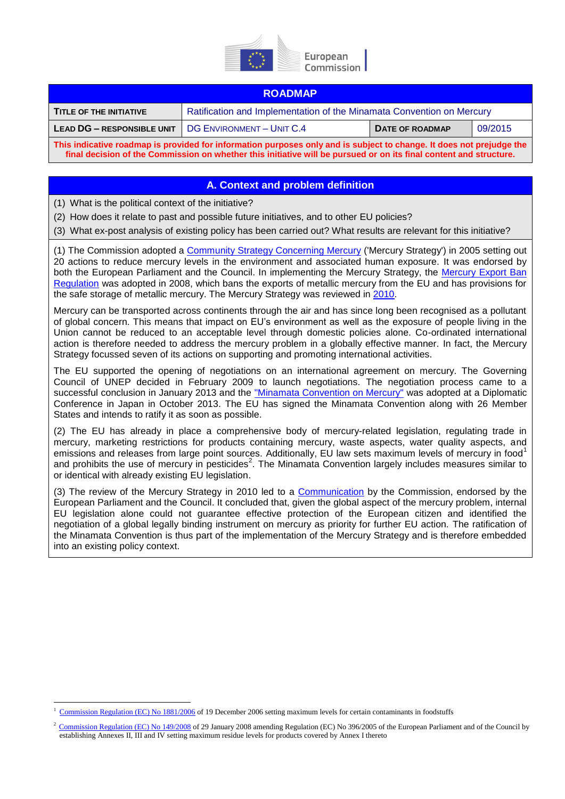

#### **ROADMAP**

| <b>TITLE OF THE INITIATIVE</b>                                                                                       | Ratification and Implementation of the Minamata Convention on Mercury |                 |         |
|----------------------------------------------------------------------------------------------------------------------|-----------------------------------------------------------------------|-----------------|---------|
| <b>LEAD DG - RESPONSIBLE UNIT</b>                                                                                    | <b>I DG ENVIRONMENT - UNIT C.4</b>                                    | DATE OF ROADMAP | 09/2015 |
| This indicative roadmap is provided for information purposes only and is subject to change. It does not prejudge the |                                                                       |                 |         |

**final decision of the Commission on whether this initiative will be pursued or on its final content and structure.**

#### **A. Context and problem definition**

(1) What is the political context of the initiative?

(2) How does it relate to past and possible future initiatives, and to other EU policies?

(3) What ex-post analysis of existing policy has been carried out? What results are relevant for this initiative?

(1) The Commission adopted a [Community Strategy Concerning Mercury](http://eur-lex.europa.eu/legal-content/EN/TXT/?uri=CELEX:52005DC0020) ('Mercury Strategy') in 2005 setting out 20 actions to reduce mercury levels in the environment and associated human exposure. It was endorsed by both the European Parliament and the Council. In implementing the Mercury Strategy, the Mercury Export Ban [Regulation](http://eur-lex.europa.eu/legal-content/EN/TXT/?uri=CELEX:32008R1102) was adopted in 2008, which bans the exports of metallic mercury from the EU and has provisions for the safe storage of metallic mercury. The Mercury Strategy was reviewed in [2010.](http://eur-lex.europa.eu/legal-content/EN/TXT/?uri=CELEX:52010DC0723)

Mercury can be transported across continents through the air and has since long been recognised as a pollutant of global concern. This means that impact on EU's environment as well as the exposure of people living in the Union cannot be reduced to an acceptable level through domestic policies alone. Co-ordinated international action is therefore needed to address the mercury problem in a globally effective manner. In fact, the Mercury Strategy focussed seven of its actions on supporting and promoting international activities.

The EU supported the opening of negotiations on an international agreement on mercury. The Governing Council of UNEP decided in February 2009 to launch negotiations. The negotiation process came to a successful conclusion in January 2013 and the "Minamata [Convention](http://www.mercuryconvention.org/) on Mercury" was adopted at a Diplomatic Conference in Japan in October 2013. The EU has signed the Minamata Convention along with 26 Member States and intends to ratify it as soon as possible.

(2) The EU has already in place a comprehensive body of mercury-related legislation, regulating trade in mercury, marketing restrictions for products containing mercury, waste aspects, water quality aspects, and emissions and releases from large point sources. Additionally, EU law sets maximum levels of mercury in food<sup>1</sup> and prohibits the use of mercury in pesticides<sup>2</sup>. The Minamata Convention largely includes measures similar to or identical with already existing EU legislation.

(3) The review of the Mercury Strategy in 2010 led to a [Communication](http://eur-lex.europa.eu/legal-content/EN/TXT/?uri=CELEX:52010DC0723) by the Commission, endorsed by the European Parliament and the Council. It concluded that, given the global aspect of the mercury problem, internal EU legislation alone could not guarantee effective protection of the European citizen and identified the negotiation of a global legally binding instrument on mercury as priority for further EU action. The ratification of the Minamata Convention is thus part of the implementation of the Mercury Strategy and is therefore embedded into an existing policy context.

<sup>1</sup> <sup>1</sup> [Commission Regulation \(EC\) No 1881/2006](http://eur-lex.europa.eu/LexUriServ/LexUriServ.do?uri=CONSLEG:2006R1881:20100701:EN:PDF) of 19 December 2006 setting maximum levels for certain contaminants in foodstuffs

<sup>2</sup> [Commission Regulation \(EC\) No 149/2008](http://eur-lex.europa.eu/LexUriServ/LexUriServ.do?uri=OJ:L:2008:058:0001:0398:EN:PDF) of 29 January 2008 amending Regulation (EC) No 396/2005 of the European Parliament and of the Council by establishing Annexes II, III and IV setting maximum residue levels for products covered by Annex I thereto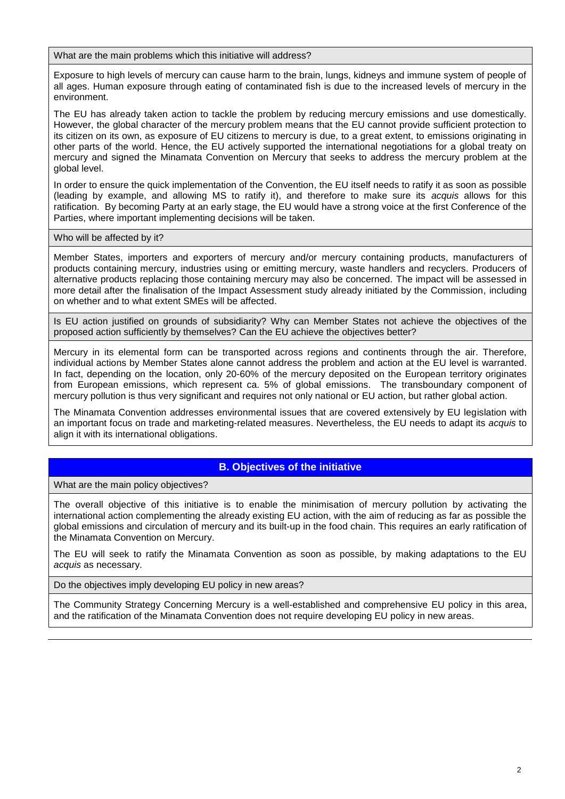What are the main problems which this initiative will address?

Exposure to high levels of mercury can cause harm to the brain, lungs, kidneys and immune system of people of all ages. Human exposure through eating of contaminated fish is due to the increased levels of mercury in the environment.

The EU has already taken action to tackle the problem by reducing mercury emissions and use domestically. However, the global character of the mercury problem means that the EU cannot provide sufficient protection to its citizen on its own, as exposure of EU citizens to mercury is due, to a great extent, to emissions originating in other parts of the world. Hence, the EU actively supported the international negotiations for a global treaty on mercury and signed the Minamata Convention on Mercury that seeks to address the mercury problem at the global level.

In order to ensure the quick implementation of the Convention, the EU itself needs to ratify it as soon as possible (leading by example, and allowing MS to ratify it), and therefore to make sure its *acquis* allows for this ratification. By becoming Party at an early stage, the EU would have a strong voice at the first Conference of the Parties, where important implementing decisions will be taken.

Who will be affected by it?

Member States, importers and exporters of mercury and/or mercury containing products, manufacturers of products containing mercury, industries using or emitting mercury, waste handlers and recyclers. Producers of alternative products replacing those containing mercury may also be concerned. The impact will be assessed in more detail after the finalisation of the Impact Assessment study already initiated by the Commission, including on whether and to what extent SMEs will be affected.

Is EU action justified on grounds of subsidiarity? Why can Member States not achieve the objectives of the proposed action sufficiently by themselves? Can the EU achieve the objectives better?

Mercury in its elemental form can be transported across regions and continents through the air. Therefore, individual actions by Member States alone cannot address the problem and action at the EU level is warranted. In fact, depending on the location, only 20-60% of the mercury deposited on the European territory originates from European emissions, which represent ca. 5% of global emissions. The transboundary component of mercury pollution is thus very significant and requires not only national or EU action, but rather global action.

The Minamata Convention addresses environmental issues that are covered extensively by EU legislation with an important focus on trade and marketing-related measures. Nevertheless, the EU needs to adapt its *acquis* to align it with its international obligations.

# **B. Objectives of the initiative**

What are the main policy objectives?

The overall objective of this initiative is to enable the minimisation of mercury pollution by activating the international action complementing the already existing EU action, with the aim of reducing as far as possible the global emissions and circulation of mercury and its built-up in the food chain. This requires an early ratification of the Minamata Convention on Mercury.

The EU will seek to ratify the Minamata Convention as soon as possible, by making adaptations to the EU *acquis* as necessary.

Do the objectives imply developing EU policy in new areas?

The Community Strategy Concerning Mercury is a well-established and comprehensive EU policy in this area, and the ratification of the Minamata Convention does not require developing EU policy in new areas.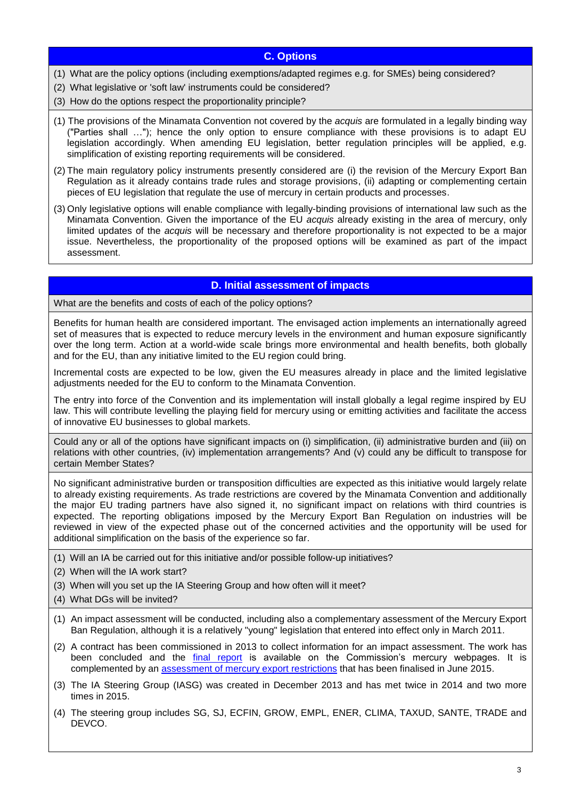## **C. Options**

- (1) What are the policy options (including exemptions/adapted regimes e.g. for SMEs) being considered?
- (2) What legislative or 'soft law' instruments could be considered?
- (3) How do the options respect the proportionality principle?
- (1) The provisions of the Minamata Convention not covered by the *acquis* are formulated in a legally binding way ("Parties shall …"); hence the only option to ensure compliance with these provisions is to adapt EU legislation accordingly. When amending EU legislation, better regulation principles will be applied, e.g. simplification of existing reporting requirements will be considered.
- (2) The main regulatory policy instruments presently considered are (i) the revision of the Mercury Export Ban Regulation as it already contains trade rules and storage provisions, (ii) adapting or complementing certain pieces of EU legislation that regulate the use of mercury in certain products and processes.
- (3) Only legislative options will enable compliance with legally-binding provisions of international law such as the Minamata Convention. Given the importance of the EU *acquis* already existing in the area of mercury, only limited updates of the *acquis* will be necessary and therefore proportionality is not expected to be a major issue. Nevertheless, the proportionality of the proposed options will be examined as part of the impact assessment.

## **D. Initial assessment of impacts**

What are the benefits and costs of each of the policy options?

Benefits for human health are considered important. The envisaged action implements an internationally agreed set of measures that is expected to reduce mercury levels in the environment and human exposure significantly over the long term. Action at a world-wide scale brings more environmental and health benefits, both globally and for the EU, than any initiative limited to the EU region could bring.

Incremental costs are expected to be low, given the EU measures already in place and the limited legislative adjustments needed for the EU to conform to the Minamata Convention.

The entry into force of the Convention and its implementation will install globally a legal regime inspired by EU law. This will contribute levelling the playing field for mercury using or emitting activities and facilitate the access of innovative EU businesses to global markets.

Could any or all of the options have significant impacts on (i) simplification, (ii) administrative burden and (iii) on relations with other countries, (iv) implementation arrangements? And (v) could any be difficult to transpose for certain Member States?

No significant administrative burden or transposition difficulties are expected as this initiative would largely relate to already existing requirements. As trade restrictions are covered by the Minamata Convention and additionally the major EU trading partners have also signed it, no significant impact on relations with third countries is expected. The reporting obligations imposed by the Mercury Export Ban Regulation on industries will be reviewed in view of the expected phase out of the concerned activities and the opportunity will be used for additional simplification on the basis of the experience so far.

- (1) Will an IA be carried out for this initiative and/or possible follow-up initiatives?
- (2) When will the IA work start?
- (3) When will you set up the IA Steering Group and how often will it meet?
- (4) What DGs will be invited?
- (1) An impact assessment will be conducted, including also a complementary assessment of the Mercury Export Ban Regulation, although it is a relatively "young" legislation that entered into effect only in March 2011.
- (2) A contract has been commissioned in 2013 to collect information for an impact assessment. The work has been concluded and the [final report](http://ec.europa.eu/environment/chemicals/mercury/pdf/MinamataConventionImplementationFinal.pdf) is available on the Commission's mercury webpages. It is complemented by an [assessment of mercury export restrictions](http://ec.europa.eu/environment/chemicals/mercury/pdf/20150609ExpBanComplAssess.pdf) that has been finalised in June 2015.
- (3) The IA Steering Group (IASG) was created in December 2013 and has met twice in 2014 and two more times in 2015.
- (4) The steering group includes SG, SJ, ECFIN, GROW, EMPL, ENER, CLIMA, TAXUD, SANTE, TRADE and DEVCO.